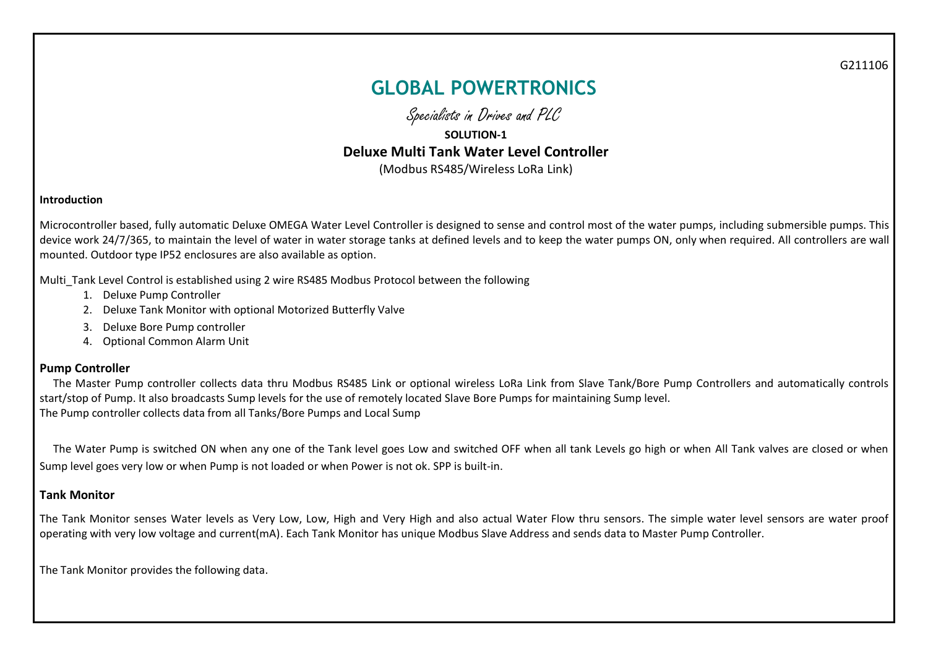G211106

# **GLOBAL POWERTRONICS**

Specialists in Drives and PLC

## **SOLUTION-1 Deluxe Multi Tank Water Level Controller**  (Modbus RS485/Wireless LoRa Link)

#### **Introduction**

Microcontroller based, fully automatic Deluxe OMEGA Water Level Controller is designed to sense and control most of the water pumps, including submersible pumps. This device work 24/7/365, to maintain the level of water in water storage tanks at defined levels and to keep the water pumps ON, only when required. All controllers are wall mounted. Outdoor type IP52 enclosures are also available as option.

Multi\_Tank Level Control is established using 2 wire RS485 Modbus Protocol between the following

- 1. Deluxe Pump Controller
- 2. Deluxe Tank Monitor with optional Motorized Butterfly Valve
- 3. Deluxe Bore Pump controller
- 4. Optional Common Alarm Unit

#### **Pump Controller**

 The Master Pump controller collects data thru Modbus RS485 Link or optional wireless LoRa Link from Slave Tank/Bore Pump Controllers and automatically controls start/stop of Pump. It also broadcasts Sump levels for the use of remotely located Slave Bore Pumps for maintaining Sump level. The Pump controller collects data from all Tanks/Bore Pumps and Local Sump

 The Water Pump is switched ON when any one of the Tank level goes Low and switched OFF when all tank Levels go high or when All Tank valves are closed or when Sump level goes very low or when Pump is not loaded or when Power is not ok. SPP is built-in.

#### **Tank Monitor**

The Tank Monitor senses Water levels as Very Low, Low, High and Very High and also actual Water Flow thru sensors. The simple water level sensors are water proof operating with very low voltage and current(mA). Each Tank Monitor has unique Modbus Slave Address and sends data to Master Pump Controller.

The Tank Monitor provides the following data.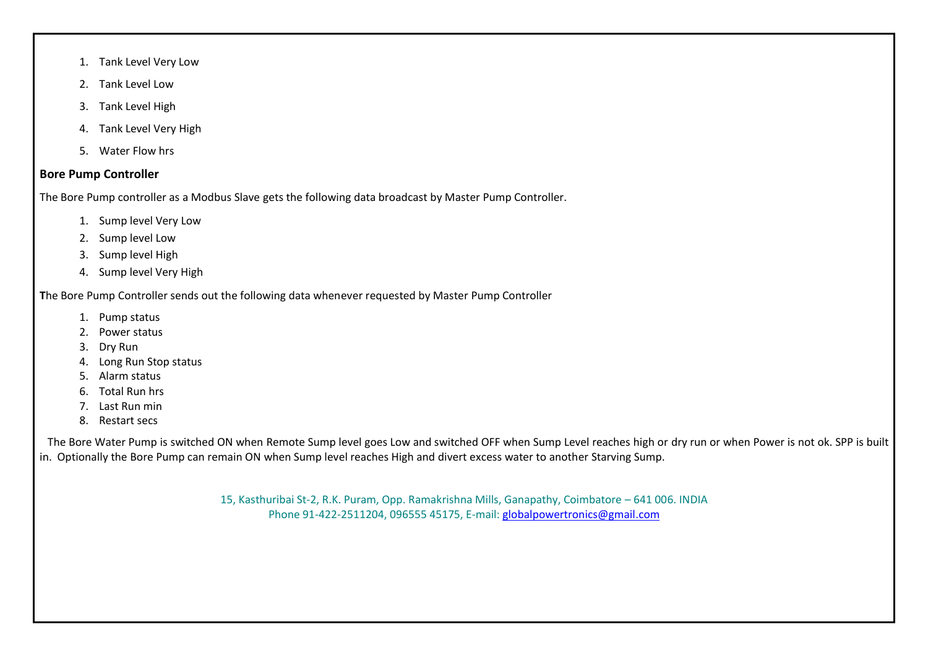- 1. Tank Level Very Low
- 2. Tank Level Low
- 3. Tank Level High
- 4. Tank Level Very High
- 5. Water Flow hrs

### **Bore Pump Controller**

The Bore Pump controller as a Modbus Slave gets the following data broadcast by Master Pump Controller.

- 1. Sump level Very Low
- 2. Sump level Low
- 3. Sump level High
- 4. Sump level Very High

**T**he Bore Pump Controller sends out the following data whenever requested by Master Pump Controller

- 1. Pump status
- 2. Power status
- 3. Dry Run
- 4. Long Run Stop status
- 5. Alarm status
- 6. Total Run hrs
- 7. Last Run min
- 8. Restart secs

 The Bore Water Pump is switched ON when Remote Sump level goes Low and switched OFF when Sump Level reaches high or dry run or when Power is not ok. SPP is built in. Optionally the Bore Pump can remain ON when Sump level reaches High and divert excess water to another Starving Sump.

> 15, Kasthuribai St-2, R.K. Puram, Opp. Ramakrishna Mills, Ganapathy, Coimbatore – 641 006. INDIA Phone 91-422-2511204, 096555 45175, E-mail: [globalpowertronics@gmail.com](mailto:globalpowertronics@gmail.com)